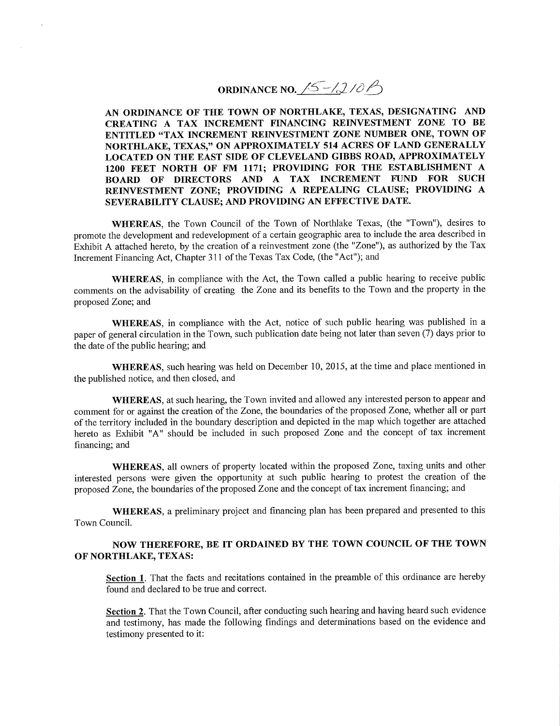**ORDINANCE NO.**  $\sqrt{5}$  -/2/0  $\sqrt{2}$ 

**AN ORDINANCE OF THE TOWN OF NORTHLAKE, TEXAS, DESIGNATING AND CREATING A TAX INCREMENT FINANCING REINVESTMENT ZONE TO BE ENTITLED "TAX INCREMENT REINVESTMENT ZONE NUMBER ONE, TOWN OF NORTHLAKE, TEXAS," ON APPROXIMATELY 514 ACRES OF LAND GENERALLY LOCATED ON THE EAST SIDE OF CLEVELAND GIBBS ROAD, APPROXIMATELY 1200 FEET NORTH OF FM 1171; PROVIDING FOR THE ESTABLISHMENT A BOARD OF DIRECTORS AND A TAX INCREMENT FUND FOR SUCH REINVESTMENT ZONE; PROVIDING A REPEALING CLAUSE; PROVIDING A SEVERABILITY CLAUSE; AND PROVIDING AN EFFECTTVE DATE.** 

**WHEREAS,** the Town Council of the Town of Northlake Texas, (the "Town"), desires to promote the development and redevelopment of a certain geographic area to include the area described in Exhibit A attached hereto, by the creation of a reinvestment zone (the "Zone"), as authorized by the Tax Increment Financing Act, Chapter 311 of the Texas Tax Code, (the "Act"); and

**WHEREAS,** in compliance with the Act, the Town called a public hearing to receive public comments on the advisability of creating the Zone and its benefits to the Town and the property in the proposed Zone; and

**WHEREAS,** in compliance with the Act, notice of such public hearing was published in a paper of general circulation in the Town, such publication date being not later than seven (7) days prior to the date of the public hearing; and

**WHEREAS,** such hearing was held on December 10, 2015, at the time and place mentioned in the published notice, and then closed, and

**WHEREAS,** at such hearing, the Town invited and allowed any interested person to appear and comment for or against the creation of the Zone, the boundaries of the proposed Zone, whether all or part of the territory included in the boundary description and depicted in the map which together are attached hereto as Exhibit "A" should be included in such proposed Zone and the concept of tax increment financing; and

**WHEREAS,** all owners of property located within the proposed Zone, taxing units and other interested persons were given the opportunity at such public hearing to protest the creation of the proposed Zone, the boundaries of the proposed Zone and the concept of tax increment financing; and

**WHEREAS,** a preliminary project and financing plan has been prepared and presented to this Town Council.

### **NOW THEREFORE, BE IT ORDAINED BY THE TOWN COUNCIL OF THE TOWN OF NORTHLAKE, TEXAS:**

**Section 1.** That the facts and recitations contained in the preamble of this ordinance are hereby found and declared to be true and correct.

**Section 2.** That the Town Council, after conducting such hearing and having heard such evidence and testimony, has made the following findings and determinations based on the evidence and testimony presented to it: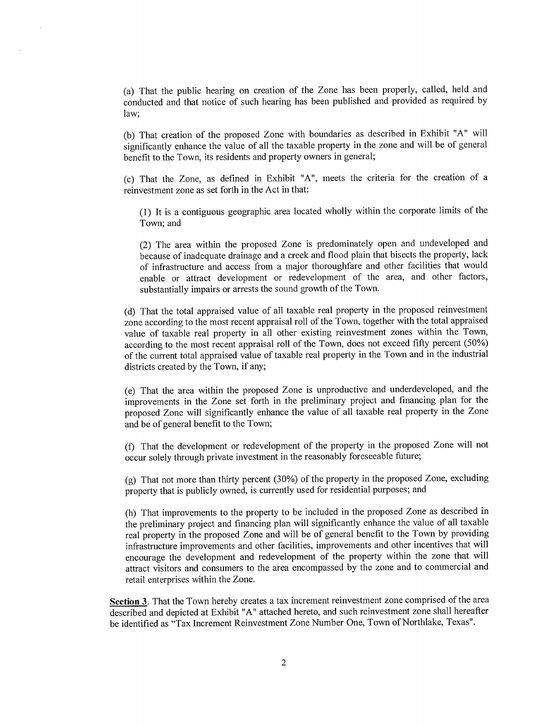(a) That the public hearing on creation of the Zone has been properly, called, held and conducted and that notice of such hearing has been published and provided as required by law;

(b) That creation of the proposed Zone with boundaries as described in Exhibit "A" will significantly enhance the value of all the taxable property in the zone and will be of general benefit to the Town, its residents and property owners in general;

(c) That the Zone, as defined in Exhibit "A", meets the criteria for the creation of a reinvestment zone as set forth in the Act in that:

(1) It is a contiguous geographic area located wholly within the corporate limits of the Town; and

(2) The area within the proposed Zone is predominately open and undeveloped and because of inadequate drainage and a creek and flood plain that bisects the property, lack of infrastructure and access from a major thoroughfare and other facilities that would enable or attract development or redevelopment of the area, and other factors, substantially impairs or arrests the sound growth of the Town.

(d) That the total appraised value of all taxable real property in the proposed reinvestment zone according to the most recent appraisal roll of the Town, together with the total appraised value of taxable real property in all other existing reinvestment zones within the Town, according to the most recent appraisal roll of the Town, does not exceed fifty percent (50%) of the current total appraised value of taxable real property in the Town and in the industrial districts created by the Town, if any;

(e) That the area within the proposed Zone is unproductive and underdeveloped, and the improvements in the Zone set forth in the preliminary project and financing plan for the proposed Zone will significantly enhance the value of all taxable real property in the Zone and be of general benefit to the Town;

(f) That the development or redevelopment of the property in the proposed Zone will not occur solely through private investment in the reasonably foreseeable future;

(g) That not more than thirty percent (30%) of the property in the proposed Zone, excluding property that is publicly owned, is currently used for residential purposes; and

(h) That improvements to the property to be included in the proposed Zone as described in the preliminary project and financing plan will significantly enhance the value of all taxable real property in the proposed Zone and will be of general benefit to the Town by providing infrastructure improvements and other facilities, improvements and other incentives that will encourage the development and redevelopment of the property within the zone that will attract visitors and consumers to the area encompassed by the zone and to commercial and retail enterprises within the Zone.

**Section 3.** That the Town hereby creates a tax increment reinvestment zone comprised of the area described and depicted at Exhibit "A" attached hereto, and such reinvestment zone shall hereafter be identified as "Tax Increment Reinvestment Zone Number One, Town of Northlake, Texas".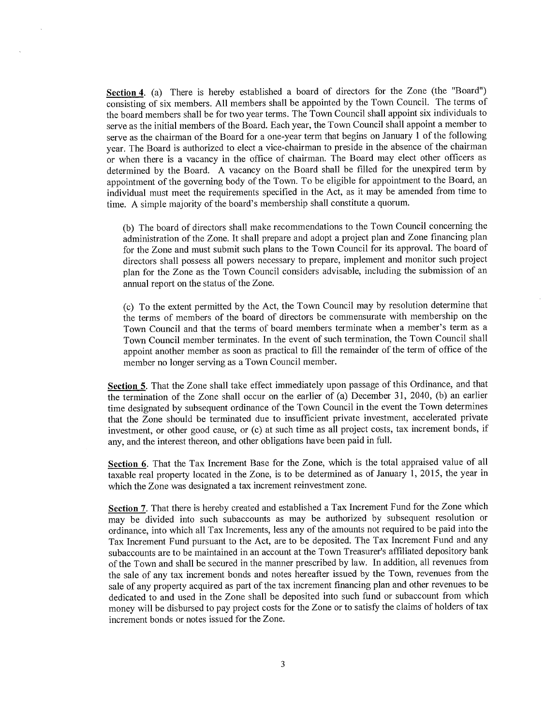Section 4. (a) There is hereby established a board of directors for the Zone (the "Board") consisting of six members. All members shall be appointed by the Town Council. The terms of the board members shall be for two year terms. The Town Council shall appoint six individuals to serve as the initial members of the Board. Each year, the Town Council shall appoint a member to serve as the chairman of the Board for a one-year term that begins on January 1 of the following year. The Board is authorized to elect a vice-chairman to preside in the absence of the chairman or when there is a vacancy in the office of chairman. The Board may elect other officers as determined by the Board. A vacancy on the Board shall be filled for the unexpired term by appointment of the governing body of the Town. To be eligible for appointment to the Board, an individual must meet the requirements specified in the Act, as it may be amended from time to time. A simple majority of the board's membership shall constitute a quorum.

(b) The board of directors shall make recommendations to the Town Council concerning the administration of the Zone. It shall prepare and adopt a project plan and Zone financing plan for the Zone and must submit such plans to the Town Council for its approval. The board of directors shall possess all powers necessary to prepare, implement and monitor such project plan for the Zone as the Town Council considers advisable, including the submission of an annual report on the status of the Zone.

(c) To the extent permitted by the Act, the Town Council may by resolution determine that the terms of members of the board of directors be commensurate with membership on the Town Council and that the terms of board members terminate when a member's term as a Town Council member terminates. In the event of such termination, the Town Council shall appoint another member as soon as practical to fill the remainder of the term of office of the member no longer serving as a Town Council member.

**Section 5.** That the Zone shall take effect immediately upon passage of this Ordinance, and that the termination of the Zone shall occur on the earlier of (a) December 31, 2040, (b) an earlier time designated by subsequent ordinance of the Town Council in the event the Town determines that the Zone should be terminated due to insufficient private investment, accelerated private investment, or other good cause, or (c) at such time as all project costs, tax increment bonds, if any, and the interest thereon, and other obligations have been paid in full.

**Section 6.** That the Tax Increment Base for the Zone, which is the total appraised value of all taxable real property located in the Zone, is to be determined as of January 1, 2015, the year in which the Zone was designated a tax increment reinvestment zone.

**Section** 7. That there is hereby created and established a Tax Increment Fund for the Zone which may be divided into such subaccounts as may be authorized by subsequent resolution or ordinance, into which all Tax Increments, less any of the amounts not required to be paid into the Tax Increment Fund pursuant to the Act, are to be deposited. The Tax Increment Fund and any subaccounts are to be maintained in an account at the Town Treasurer's affiliated depository bank of the Town and shall be secured in the manner prescribed by law. In addition, all revenues from the sale of any tax increment bonds and notes hereafter issued by the Town, revenues from the sale of any property acquired as part of the tax increment financing plan and other revenues to be dedicated to and used in the Zone shall be deposited into such fund or subaccount from which money will be disbursed to pay project costs for the Zone or to satisfy the claims of holders of tax increment bonds or notes issued for the Zone.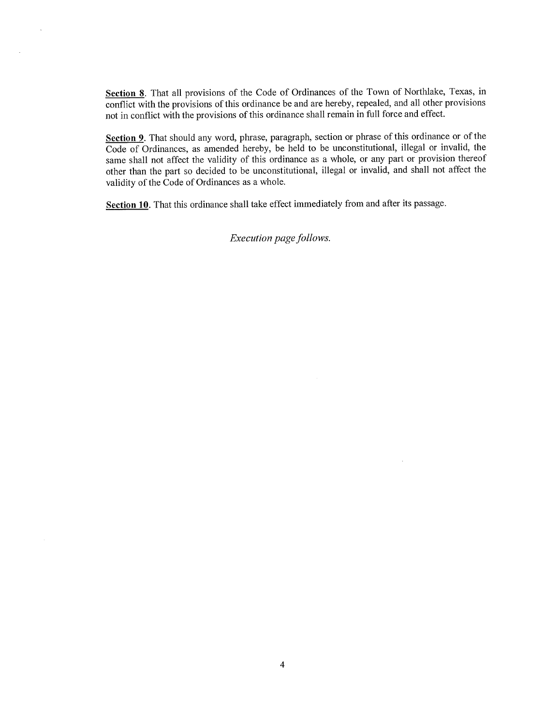Section 8. That all provisions of the Code of Ordinances of the Town of Northlake, Texas, in conflict with the provisions of this ordinance be and are hereby, repealed, and all other provisions not in conflict with the provisions of this ordinance shall remain in full force and effect.

 $\mathcal{L}$ 

**Section 9.** That should any word, phrase, paragraph, section or phrase of this ordinance or of the Code of Ordinances, as amended hereby, be held to be unconstitutional, illegal or invalid, the same shall not affect the validity of this ordinance as a whole, or any part or provision thereof other than the part so decided to be unconstitutional, illegal or invalid, and shall not affect the validity of the Code of Ordinances as a whole.

**Section 10.** That this ordinance shall take effect immediately from and after its passage.

 $Execution$  *page follows*.

 $\sim$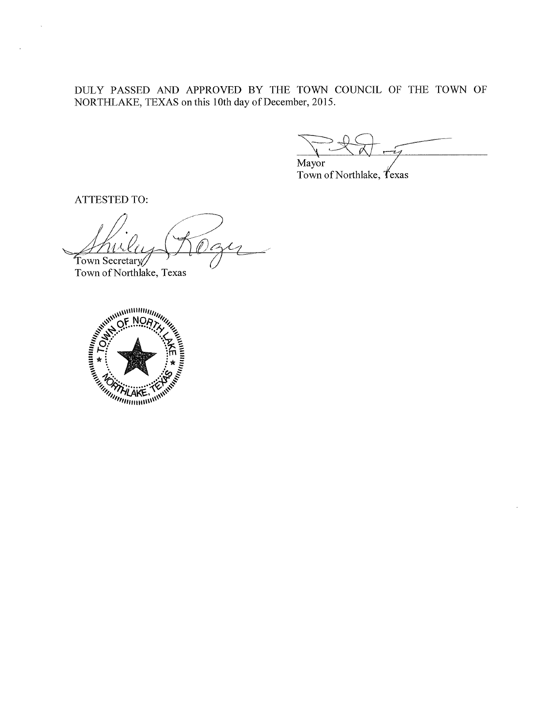DULY PASSED AND APPROVED BY THE TOWN COUNCIL OF THE TOWN OF NORTHLAKE, TEXAS on this 10th day of December, 2015.

Mayor

Town of Northlake, Texas

ATTESTED TO:

 $\ddot{\phantom{a}}$ 

Town Secretary

Town of Northlake, Texas

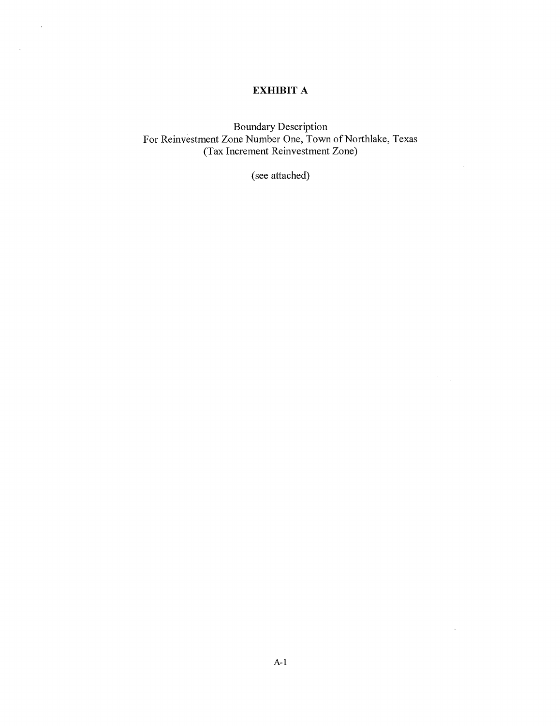## **EXHIBIT A**

 $\mathbf{v}$  .

 $\mathcal{L}^{\text{max}}$ 

Boundary Description For Reinvestment Zone Number One, Town of Northlake, Texas (Tax Increment Reinvestment Zone)

(see attached)

 $\left\langle \hat{r} \right\rangle_{\rm{max}}$ 

 $\hat{\mathcal{A}}$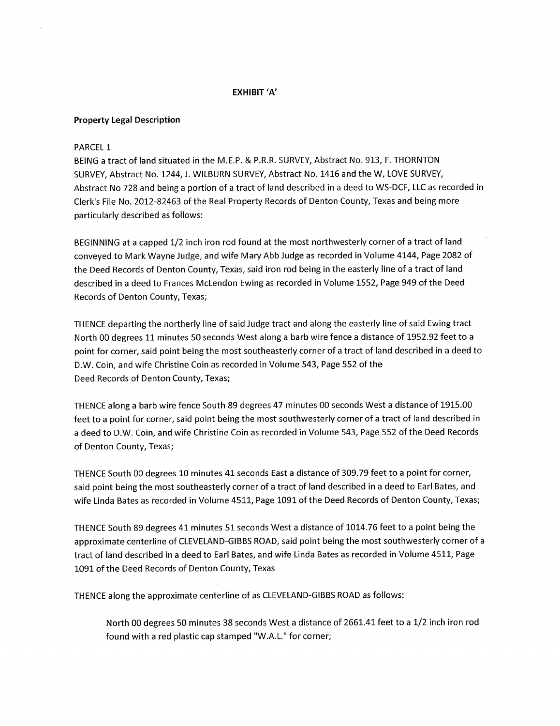#### **EXHIBIT 'A'**

#### **Property Legal Description**

#### **PARCEL 1**

**BEING a tract of land situated in the M.E.P. & P.R.R. SURVEY, Abstract No. 913, F. THORNTON SURVEY, Abstract No. 1244, J. WILBURN SURVEY, Abstract No. 1416 and the W, LOVE SURVEY, Abstract No 728 and being a portion of a tract of land described in a deed to WS-DCF, LLC as recorded in Clerk's File No. 2012-82463 of the Real Property Records of Denton County, Texas and being more particularly described as follows:** 

**BEGINNING at a capped 1/2 inch iron rod found at the most northwesterly corner of a tract of land conveyed to Mark Wayne Judge, and wife Mary Abb Judge as recorded in Volume 4144, Page 2082 of the Deed Records of Denton County, Texas, said iron rod being in the easterly line of a tract of land described in a deed to Frances McLendon Ewing as recorded in Volume 1552, Page 949 of the Deed Records of Denton County, Texas;** 

**THENCE departing the northerly line of said Judge tract and along the easterly line of said Ewing tract North 00 degrees 11 minutes 50 seconds West along a barb wire fence a distance of 1952.92 feet to a point for corner, said point being the most southeasterly corner of a tract of land described in a deed to D.W. Coin, and wife Christine Coin as recorded in Volume 543, Page 552 of the Deed Records of Denton County, Texas;** 

**THENCE along a barb wire fence South 89 degrees 47 minutes 00 seconds West a distance of 1915.00 feet to a point for corner, said point being the most southwesterly corner of a tract of land described in a deed to D.W. Coin, and wife Christine Coin as recorded in Volume 543, Page 552 of the Deed Records of Denton County, Texas;** 

**THENCE South 00 degrees 10 minutes 41 seconds East a distance of 309.79 feet to a point for corner, said point being the most southeasterly corner of a tract of land described in a deed to Earl Bates, and wife Linda Bates as recorded in Volume 4511, Page 1091 of the Deed Records of Denton County, Texas;** 

**THENCE South 89 degrees 41 minutes 51 seconds West a distance of 1014.76 feet to a point being the approximate centerline of CLEVELAND-GIBBS ROAD, said point being the most southwesterly corner of a tract of land described in a deed to Earl Bates, and wife Linda Bates as recorded in Volume 4511, Page 1091 of the Deed Records of Denton County, Texas** 

**THENCE along the approximate centerline of as CLEVELAND-GIBBS ROAD as follows:** 

**North 00 degrees 50 minutes 38 seconds West a distance of 2661.41 feet to a 1/2 inch iron rod found with a red plastic cap stamped "W.A.L." for corner;**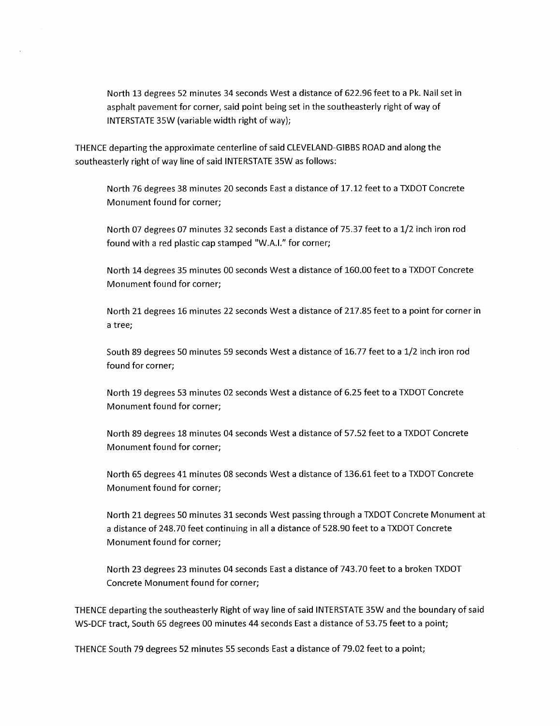**North 13 degrees 52 minutes 34 seconds West a distance of 622.96 feet to a Pk. Nail set in asphalt pavement for corner, said point being set in the southeasterly right of way of INTERSTATE 35W (variable width right of way);** 

**THENCE departing the approximate centerline of said CLEVELAND-GIBBS ROAD and along the southeasterly right of way line of said INTERSTATE 35W as follows:** 

**North 76 degrees 38 minutes 20 seconds East a distance of 17.12 feet to a TXDOT Concrete Monument found for corner;** 

**North 07 degrees 07 minutes 32 seconds East a distance of 75.37 feet to a 1/2 inch iron rod found with a red plastic cap stamped "W.A.I." for corner;** 

**North 14 degrees 35 minutes 00 seconds West a distance of 160.00 feet to a TXDOT Concrete Monument found for corner;** 

**North 21 degrees 16 minutes 22 seconds West a distance of 217.85 feet to a point for corner in a tree;** 

**South 89 degrees 50 minutes 59 seconds West a distance of 16.77 feet to a 1/2 inch iron rod found for corner;** 

**North 19 degrees 53 minutes 02 seconds West a distance of 6.25 feet to a TXDOT Concrete Monument found for corner;** 

**North 89 degrees 18 minutes 04 seconds West a distance of 57.52 feet to a TXDOT Concrete Monument found for corner;** 

**North 65 degrees 41 minutes 08 seconds West a distance of 136.61 feet to a TXDOT Concrete Monument found for corner;** 

**North 21 degrees 50 minutes 31 seconds West passing through a TXDOT Concrete Monument at a distance of 248.70 feet continuing in all a distance of 528.90 feet to a TXDOT Concrete Monument found for corner;** 

**North 23 degrees 23 minutes 04 seconds East a distance of 743.70 feet to a broken TXDOT Concrete Monument found for corner;** 

**THENCE departing the southeasterly Right of way line of said INTERSTATE 35W and the boundary of said WS-DCF tract. South 65 degrees 00 minutes 44 seconds East a distance of 53.75 feet to a point;** 

**THENCE South 79 degrees 52 minutes 55 seconds East a distance of 79.02 feet to a point;**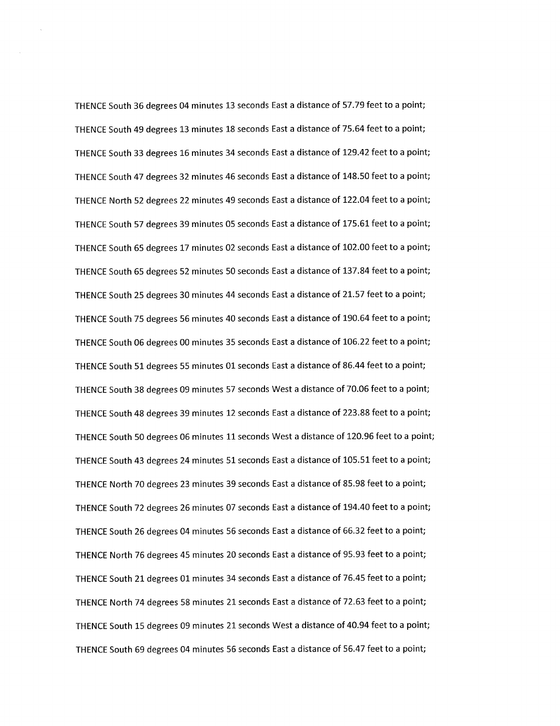THENCE South 36 degrees 04 minutes 13 seconds East a distance of 57.79 feet to a point; THENCE South 49 degrees 13 minutes 18 seconds East a distance of 75.64 feet to a point; THENCE South 33 degrees 16 minutes 34 seconds East a distance of 129.42 feet to a point; THENCE South 47 degrees 32 minutes 46 seconds East a distance of 148.50 feet to a point; THENCE North 52 degrees 22 minutes 49 seconds East a distance of 122.04 feet to a point; THENCE South 57 degrees 39 minutes 05 seconds East a distance of 175.61 feet to a point; THENCE South 65 degrees 17 minutes 02 seconds East a distance of 102.00 feet to a point; THENCE South 65 degrees 52 minutes 50 seconds East a distance of 137.84 feet to a point; THENCE South 25 degrees 30 minutes 44 seconds East a distance of 21.57 feet to a point; THENCE South 75 degrees 56 minutes 40 seconds East a distance of 190.64 feet to a point; THENCE South 06 degrees 00 minutes 35 seconds East a distance of 106.22 feet to a point; THENCE South 51 degrees 55 minutes 01 seconds East a distance of 86.44 feet to a point; THENCE South 38 degrees 09 minutes 57 seconds West a distance of 70.06 feet to a point; THENCE South 48 degrees 39 minutes 12 seconds East a distance of 223.88 feet to a point; THENCE South 50 degrees 06 minutes 11 seconds West a distance of 120.96 feet to a point; THENCE South 43 degrees 24 minutes 51 seconds East a distance of 105.51 feet to a point; THENCE North 70 degrees 23 minutes 39 seconds East a distance of 85.98 feet to a point; THENCE South 72 degrees 26 minutes 07 seconds East a distance of 194.40 feet to a point; THENCE South 26 degrees 04 minutes 56 seconds East a distance of 66.32 feet to a point; THENCE North 76 degrees 45 minutes 20 seconds East a distance of 95.93 feet to a point; THENCE South 21 degrees 01 minutes 34 seconds East a distance of 76.45 feet to a point; THENCE North 74 degrees 58 minutes 21 seconds East a distance of 72.63 feet to a point; THENCE South 15 degrees 09 minutes 21 seconds West a distance of 40.94 feet to a point; THENCE South 69 degrees 04 minutes 56 seconds East a distance of 56.47 feet to a point;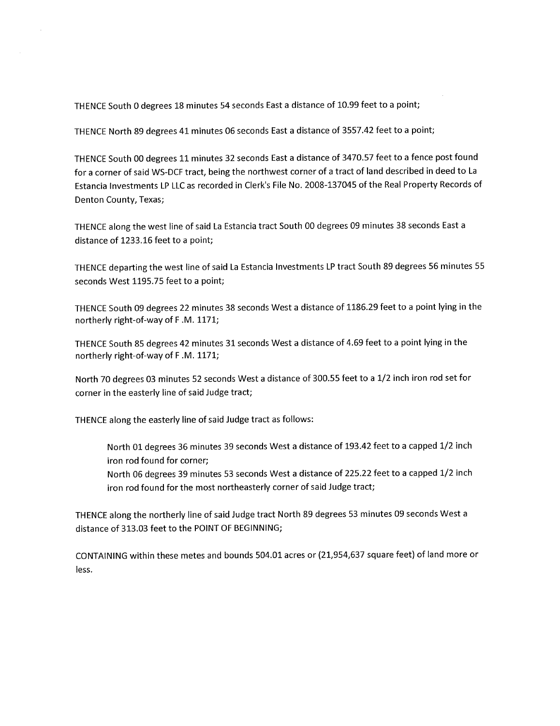**THENCE South 0 degrees 18 minutes 54 seconds East a distance of 10.99 feet to a point;** 

**THENCE North 89 degrees 41 minutes 06 seconds East a distance of 3557.42 feet to a point;** 

**THENCE South 00 degrees 11 minutes 32 seconds East a distance of 3470.57 feet to a fence post found for a corner of said WS-DCF tract, being the northwest corner of a tract of land described in deed to La Estancia Investments LP LLC as recorded in Clerk's File No. 2008-137045 of the Real Property Records of Denton County, Texas;** 

**THENCE along the west line of said La Estancia tract South 00 degrees 09 minutes 38 seconds East a distance of 1233.16 feet to a point;** 

**THENCE departing the west line of said La Estancia Investments LP tract South 89 degrees 56 minutes 55 seconds West 1195.75 feet to a point;** 

**THENCE South 09 degrees 22 minutes 38 seconds West a distance of 1186.29 feet to a point lying in the northerly right-of-way of F .M. 1171;** 

**THENCE South 85 degrees 42 minutes 31 seconds West a distance of 4.69 feet to a point lying in the northerly right-of-way of F .M. 1171;** 

**North 70 degrees 03 minutes 52 seconds West a distance of 300.55 feet to a 1/2 inch iron rod set for corner in the easterly line of said Judge tract;** 

**THENCE along the easterly line of said Judge tract as follows:** 

**North 01 degrees 36 minutes 39 seconds West a distance of 193.42 feet to a capped 1/2 inch iron rod found for corner;** 

**North 06 degrees 39 minutes 53 seconds West a distance of 225.22 feet to a capped 1/2 inch iron rod found for the most northeasterly corner of said Judge tract;** 

**THENCE along the northerly line of said Judge tract North 89 degrees 53 minutes 09 seconds West a distance of 313.03 feet to the POINT OF BEGINNING;** 

**CONTAINING within these metes and bounds 504.01 acres or (21,954,637 square feet) of land more or less.**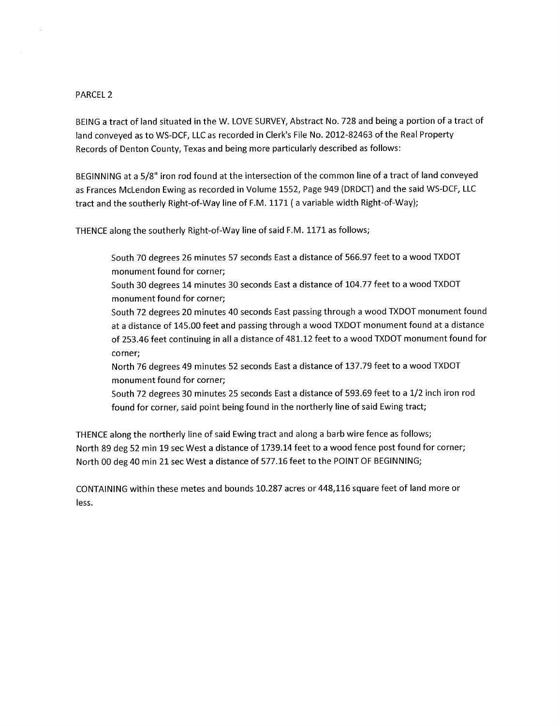#### **PARCEL 2**

 $\mathcal{L}$ 

**BEING a tract of land situated in the W. LOVE SURVEY, Abstract No. 728 and being a portion of a tract of land conveyed as to WS-DCF, LLC as recorded in Clerk's File No. 2012-82463 of the Real Property Records of Denton County, Texas and being more particularly described as follows:** 

**BEGINNING at a 5/8" iron rod found at the intersection of the common line of a tract of land conveyed as Frances McLendon Ewing as recorded in Volume 1552, Page 949 (DRDCT) and the said WS-DCF, LLC tract and the southerly Right-of-Way line of F.M. 1171 ( a variable width Right-of-Way);** 

**THENCE along the southerly Right-of-Way line of said F.M. 1171 as follows;** 

**South 70 degrees 26 minutes 57 seconds East a distance of 566.97 feet to a wood TXDOT monument found for corner;** 

**South 30 degrees 14 minutes 30 seconds East a distance of 104.77 feet to a wood TXDOT monument found for corner;** 

**South 72 degrees 20 minutes 40 seconds East passing through a wood TXDOT monument found at a distance of 145.00 feet and passing through a wood TXDOT monument found at a distance of 253.46 feet continuing in all a distance of 481.12 feet to a wood TXDOT monument found for corner;** 

**North 76 degrees 49 minutes 52 seconds East a distance of 137.79 feet to a wood TXDOT monument found for corner;** 

**South 72 degrees 30 minutes 25 seconds East a distance of 593.69 feet to a 1/2 inch iron rod found for corner, said point being found in the northerly line of said Ewing tract;** 

**THENCE along the northerly line of said Ewing tract and along a barb wire fence as follows; North 89 deg 52 min 19 sec West a distance of 1739.14 feet to a wood fence post found for corner; North 00 deg 40 min 21 sec West a distance of 577.16 feet to the POINT OF BEGINNING;** 

**CONTAINING within these metes and bounds 10.287 acres or 448,116 square feet of land more or less.**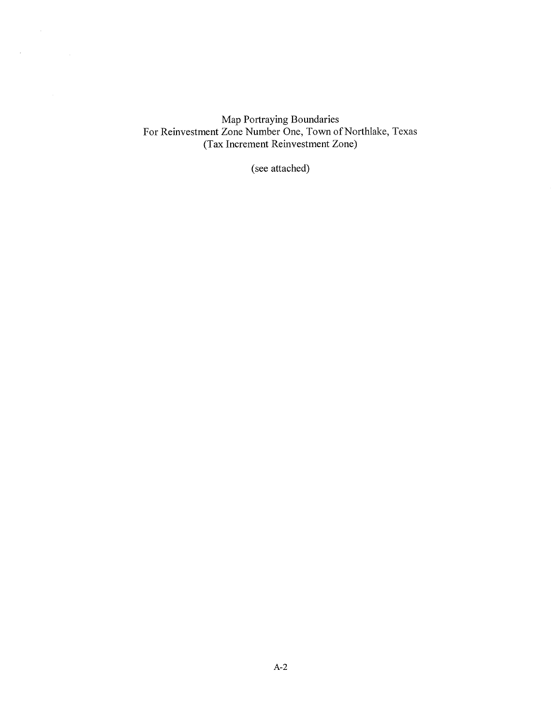Map Portraying Boundaries For Reinvestment Zone Number One, Town of Northlake, Texas (Tax Increment Reinvestment Zone)

 $\label{eq:2.1} \frac{1}{2} \sum_{i=1}^n \frac{1}{2} \sum_{j=1}^n \frac{1}{2} \sum_{j=1}^n \frac{1}{2} \sum_{j=1}^n \frac{1}{2} \sum_{j=1}^n \frac{1}{2} \sum_{j=1}^n \frac{1}{2} \sum_{j=1}^n \frac{1}{2} \sum_{j=1}^n \frac{1}{2} \sum_{j=1}^n \frac{1}{2} \sum_{j=1}^n \frac{1}{2} \sum_{j=1}^n \frac{1}{2} \sum_{j=1}^n \frac{1}{2} \sum_{j=1}^n \frac{$ 

 $\label{eq:2.1} \mathcal{L}(\mathcal{A}) = \mathcal{L}(\mathcal{A}) \otimes \mathcal{L}(\mathcal{A})$ 

(see attached)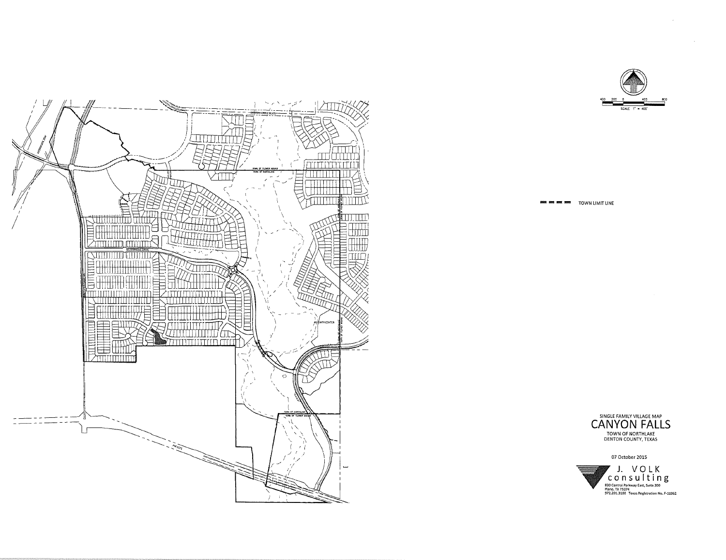

**EX AND AND AND TOWN LIMIT LINE** 



**07 October 2015** 



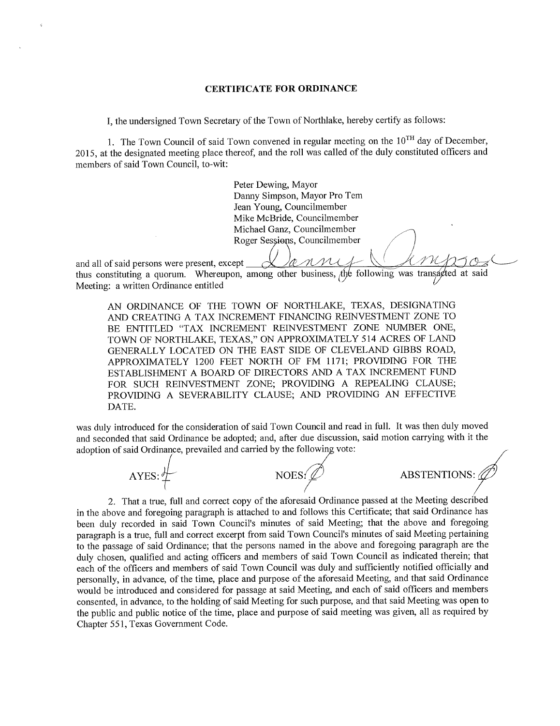#### **CERTIFICATE FOR ORDINANCE**

I, the undersigned Town Secretary of the Town of Northlake, hereby certify as follows:

1. The Town Council of said Town convened in regular meeting on the 10<sup>TH</sup> day of December. 2015, at the designated meeting place thereof, and the roll was called of the duly constituted officers and members of said Town Council, to-wit:

> Peter Dewing, Mayor Danny Simpson, Mayor Pro Tem Jean Young, Councilmember Mike McBride, Councilmember Michael Ganz, Councilmember Roger Sessions, Councilmember

and all of said persons were present, except ^4/**.^t^-^^C-^** *C3^'^*  thus constituting a quorum. Whereupon, among other business, the following was transacted at said Meeting: a written Ordinance entitled ^

AN ORDINANCE OF THE TOWN OF NORTHLAKE, TEXAS, DESIGNATING AND CREATING A TAX INCREMENT FINANCING REINVESTMENT ZONE TO BE ENTITLED "TAX INCREMENT REINVESTMENT ZONE NUMBER ONE, TOWN OF NORTHLAKE, TEXAS," ON APPROXIMATELY 514 ACRES OF LAND GENERALLY LOCATED ON THE EAST SIDE OF CLEVELAND GIBBS ROAD, APPROXIMATELY 1200 FEET NORTH OF FM 1171; PROVIDING FOR THE ESTABLISHMENT A BOARD OF DIRECTORS AND A TAX INCREMENT FUND FOR SUCH REINVESTMENT ZONE; PROVIDING A REPEALING CLAUSE; PROVIDING A SEVERABILITY CLAUSE; AND PROVIDING AN EFFECTIVE DATE.

was duly introduced for the consideration of said Town Council and read in full. It was then duly moved and seconded that said Ordinance be adopted; and, after due discussion, said motion carrying with it the adoption of said Ordinance, prevailed and carried by the following vote:



2. That a true, full and correct copy of the aforesaid Ordinance passed at the Meeting described in the above and foregoing paragraph is attached to and follows this Certificate; that said Ordinance has been duly recorded in said Town Council's minutes of said Meeting; that the above and foregoing paragraph is a true, full and correct excerpt from said Town Council's minutes of said Meeting pertaining to the passage of said Ordinance; that the persons named in the above and foregoing paragraph are the duly chosen, qualified and acting officers and members of said Town Council as indicated therein; that each of the officers and members of said Town Council was duly and sufficiently notified officially and personally, in advance, of the time, place and purpose of the aforesaid Meeting, and that said Ordinance would be introduced and considered for passage at said Meeting, and each of said officers and members consented, in advance, to the holding of said Meeting for such purpose, and that said Meeting was open to the public and public notice of the time, place and purpose of said meeting was given, all as required by Chapter 551, Texas Government Code.